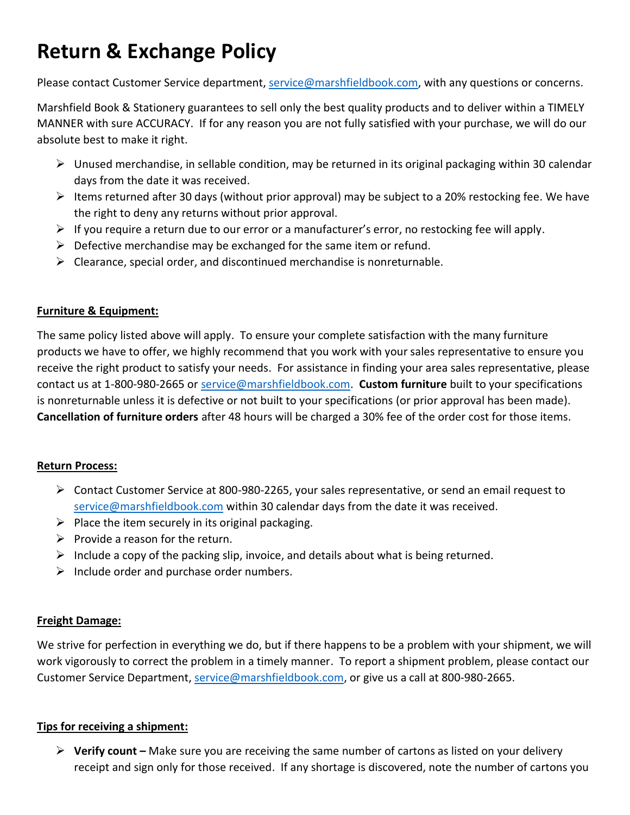# **Return & Exchange Policy**

Please contact Customer Service department, [service@marshfieldbook.com,](mailto:service@marshfieldbook.com) with any questions or concerns.

Marshfield Book & Stationery guarantees to sell only the best quality products and to deliver within a TIMELY MANNER with sure ACCURACY. If for any reason you are not fully satisfied with your purchase, we will do our absolute best to make it right.

- ➢ Unused merchandise, in sellable condition, may be returned in its original packaging within 30 calendar days from the date it was received.
- $\triangleright$  Items returned after 30 days (without prior approval) may be subject to a 20% restocking fee. We have the right to deny any returns without prior approval.
- $\triangleright$  If you require a return due to our error or a manufacturer's error, no restocking fee will apply.
- $\triangleright$  Defective merchandise may be exchanged for the same item or refund.
- $\triangleright$  Clearance, special order, and discontinued merchandise is nonreturnable.

## **Furniture & Equipment:**

The same policy listed above will apply. To ensure your complete satisfaction with the many furniture products we have to offer, we highly recommend that you work with your sales representative to ensure you receive the right product to satisfy your needs. For assistance in finding your area sales representative, please contact us at 1-800-980-2665 or [service@marshfieldbook.com.](mailto:service@marshfieldbook.com) **Custom furniture** built to your specifications is nonreturnable unless it is defective or not built to your specifications (or prior approval has been made). **Cancellation of furniture orders** after 48 hours will be charged a 30% fee of the order cost for those items.

## **Return Process:**

- $\triangleright$  Contact Customer Service at 800-980-2265, your sales representative, or send an email request to [service@marshfieldbook.com](mailto:service@marshfieldbook.com) within 30 calendar days from the date it was received.
- $\triangleright$  Place the item securely in its original packaging.
- $\triangleright$  Provide a reason for the return.
- $\triangleright$  Include a copy of the packing slip, invoice, and details about what is being returned.
- $\triangleright$  Include order and purchase order numbers.

## **Freight Damage:**

We strive for perfection in everything we do, but if there happens to be a problem with your shipment, we will work vigorously to correct the problem in a timely manner. To report a shipment problem, please contact our Customer Service Department, [service@marshfieldbook.com,](mailto:service@marshfieldbook.com) or give us a call at 800-980-2665.

## **Tips for receiving a shipment:**

➢ **Verify count –** Make sure you are receiving the same number of cartons as listed on your delivery receipt and sign only for those received. If any shortage is discovered, note the number of cartons you